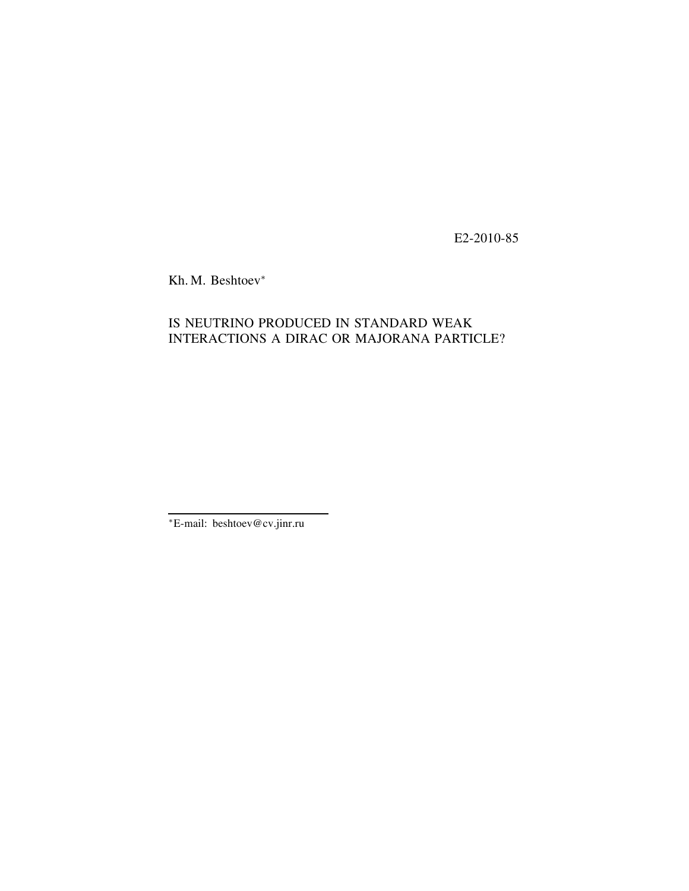E2-2010-85

Kh. M. Beshtoev<sup>∗</sup>

# IS NEUTRINO PRODUCED IN STANDARD WEAK INTERACTIONS A DIRAC OR MAJORANA PARTICLE?

∗E-mail: beshtoev@cv.jinr.ru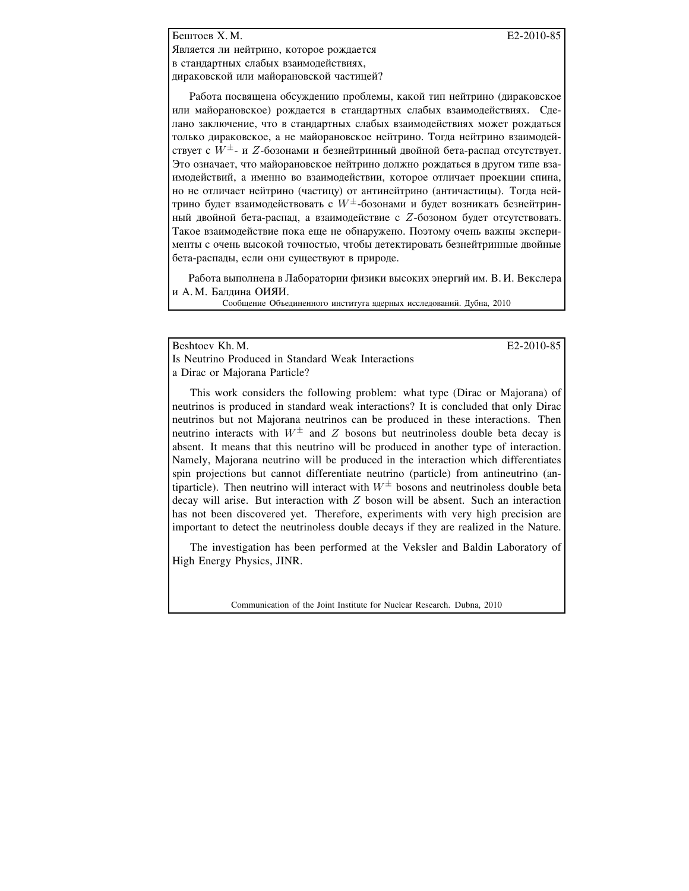$E2-2010-85$ 

Является ли нейтрино, которое рождается в стандартных слабых взаимодействиях, дираковской или майорановской частицей?

Работа посвящена обсуждению проблемы, какой тип нейтрино (дираковское или майорановское) рождается в стандартных слабых взаимодействиях. Сделано заключение, что в стандартных слабых взаимодействиях может рождаться только дираковское, а не майорановское нейтрино. Тогда нейтрино взаимодействует с  $W^{\pm}$ - и  $Z$ -бозонами и безнейтринный двойной бета-распад отсутствует. Это означает, что майорановское нейтрино должно рождаться в другом типе взаимодействий, а именно во взаимодействии, которое отличает проекции спина, но не отличает нейтрино (частицу) от антинейтрино (античастицы). Тогда нейтрино будет взаимодействовать с  $W^{\pm}$ -бозонами и будет возникать безнейтринный двойной бета-распад, а взаимодействие с Z-бозоном будет отсутствовать. Такое взаимодействие пока еще не обнаружено. Поэтому очень важны эксперименты с очень высокой точностью, чтобы детектировать безнейтринные двойные бета-распады, если они существуют в природе.

Работа выполнена в Лаборатории физики высоких энергий им. В. И. Векслера и А.М. Балдина ОИЯИ.

Сообщение Объединенного института ядерных исследований. Дубна, 2010

Beshtoev Kh. M. E2-2010-85

Is Neutrino Produced in Standard Weak Interactions a Dirac or Majorana Particle?

This work considers the following problem: what type (Dirac or Majorana) of neutrinos is produced in standard weak interactions? It is concluded that only Dirac neutrinos but not Majorana neutrinos can be produced in these interactions. Then neutrino interacts with  $W^{\pm}$  and Z bosons but neutrinoless double beta decay is absent. It means that this neutrino will be produced in another type of interaction. Namely, Majorana neutrino will be produced in the interaction which differentiates spin projections but cannot differentiate neutrino (particle) from antineutrino (antiparticle). Then neutrino will interact with  $W^{\pm}$  bosons and neutrinoless double beta decay will arise. But interaction with  $Z$  boson will be absent. Such an interaction has not been discovered yet. Therefore, experiments with very high precision are important to detect the neutrinoless double decays if they are realized in the Nature.

The investigation has been performed at the Veksler and Baldin Laboratory of High Energy Physics, JINR.

Communication of the Joint Institute for Nuclear Research. Dubna, 2010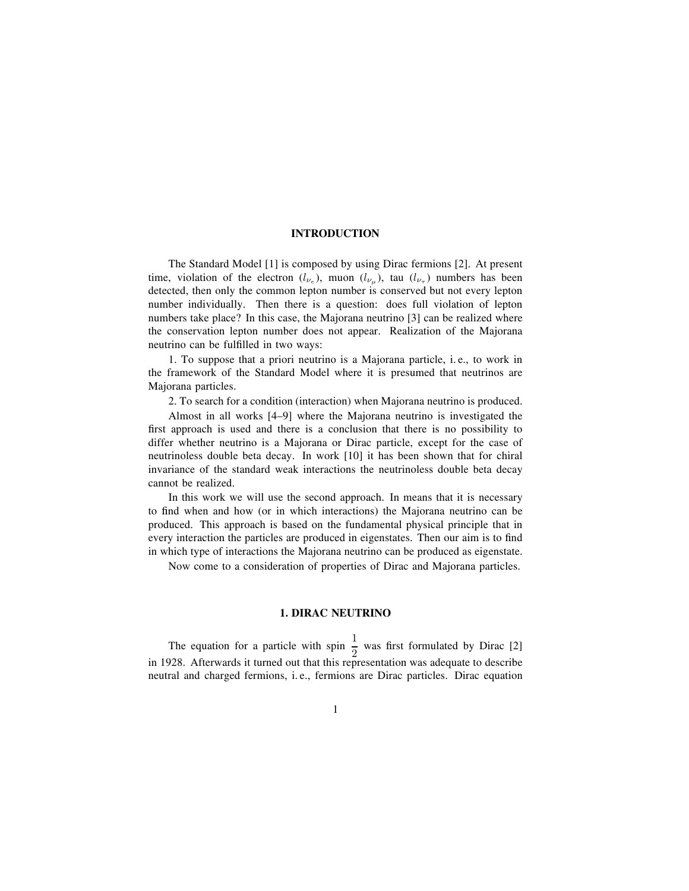#### **INTRODUCTION**

The Standard Model [1] is composed by using Dirac fermions [2]. At present time, violation of the electron  $(l_{\nu_e})$ , muon  $(l_{\nu_\mu})$ , tau  $(l_{\nu_\tau})$  numbers has been detected, then only the common lepton number is conserved but not every lepton number individually. Then there is a question: does full violation of lepton numbers take place? In this case, the Majorana neutrino [3] can be realized where the conservation lepton number does not appear. Realization of the Majorana neutrino can be fulfilled in two ways:

1. To suppose that a priori neutrino is a Majorana particle, i. e., to work in the framework of the Standard Model where it is presumed that neutrinos are Majorana particles.

2. To search for a condition (interaction) when Majorana neutrino is produced.

Almost in all works  $[4-9]$  where the Majorana neutrino is investigated the first approach is used and there is a conclusion that there is no possibility to differ whether neutrino is a Majorana or Dirac particle, except for the case of neutrinoless double beta decay. In work [10] it has been shown that for chiral invariance of the standard weak interactions the neutrinoless double beta decay cannot be realized.

In this work we will use the second approach. In means that it is necessary to find when and how (or in which interactions) the Majorana neutrino can be produced. This approach is based on the fundamental physical principle that in every interaction the particles are produced in eigenstates. Then our aim is to find in which type of interactions the Majorana neutrino can be produced as eigenstate.

Now come to a consideration of properties of Dirac and Majorana particles.

# **1. DIRAC NEUTRINO**

The equation for a particle with spin  $\frac{1}{2}$  was first formulated by Dirac [2] in 1928. Afterwards it turned out that this representation was adequate to describe neutral and charged fermions, i. e., fermions are Dirac particles. Dirac equation

1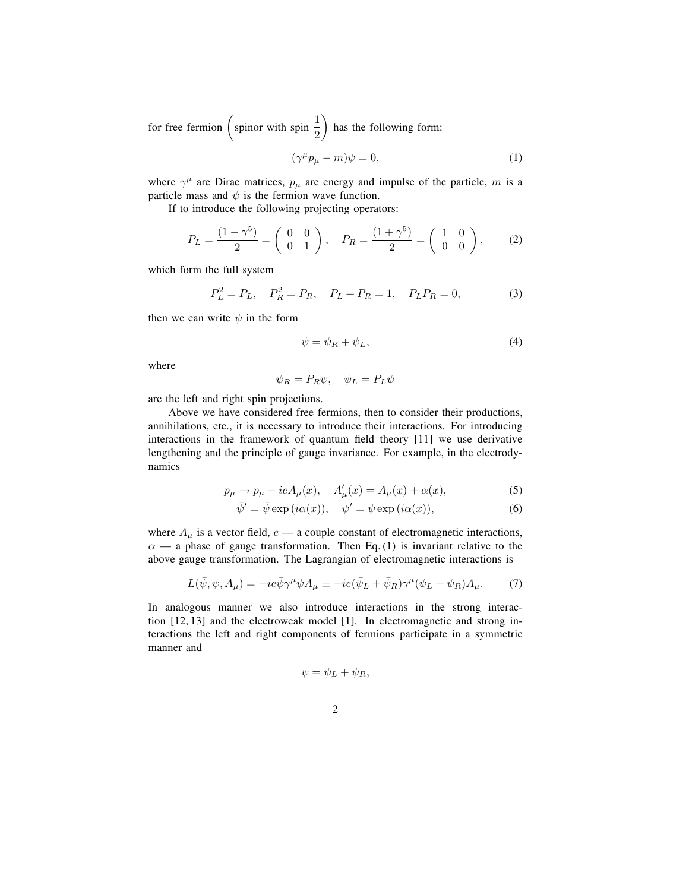for free fermion  $\left(\begin{array}{c} 1 \end{array}\right)$  spinor with spin  $\frac{1}{2}$ 2  $\overline{ }$ has the following form:

$$
(\gamma^{\mu}p_{\mu}-m)\psi=0, \qquad (1)
$$

where  $\gamma^{\mu}$  are Dirac matrices,  $p_{\mu}$  are energy and impulse of the particle, m is a particle mass and  $\psi$  is the fermion wave function.

If to introduce the following projecting operators:

$$
P_L = \frac{(1 - \gamma^5)}{2} = \begin{pmatrix} 0 & 0 \\ 0 & 1 \end{pmatrix}, \quad P_R = \frac{(1 + \gamma^5)}{2} = \begin{pmatrix} 1 & 0 \\ 0 & 0 \end{pmatrix}, \tag{2}
$$

which form the full system

$$
P_L^2 = P_L, \quad P_R^2 = P_R, \quad P_L + P_R = 1, \quad P_L P_R = 0,\tag{3}
$$

then we can write  $\psi$  in the form

$$
\psi = \psi_R + \psi_L,\tag{4}
$$

where

$$
\psi_R = P_R \psi, \quad \psi_L = P_L \psi
$$

are the left and right spin projections.

Above we have considered free fermions, then to consider their productions, annihilations, etc., it is necessary to introduce their interactions. For introducing interactions in the framework of quantum field theory  $[11]$  we use derivative lengthening and the principle of gauge invariance. For example, in the electrodynamics

$$
p_{\mu} \to p_{\mu} - ieA_{\mu}(x), \quad A'_{\mu}(x) = A_{\mu}(x) + \alpha(x),
$$
 (5)

$$
\bar{\psi}' = \bar{\psi} \exp(i\alpha(x)), \quad \psi' = \psi \exp(i\alpha(x)), \tag{6}
$$

where  $A_\mu$  is a vector field,  $e - a$  couple constant of electromagnetic interactions,  $\alpha$  – a phase of gauge transformation. Then Eq. (1) is invariant relative to the above gauge transformation. The Lagrangian of electromagnetic interactions is

$$
L(\bar{\psi}, \psi, A_{\mu}) = -ie\bar{\psi}\gamma^{\mu}\psi A_{\mu} \equiv -ie(\bar{\psi}_L + \bar{\psi}_R)\gamma^{\mu}(\psi_L + \psi_R)A_{\mu}.
$$
 (7)

In analogous manner we also introduce interactions in the strong interaction [12, 13] and the electroweak model [1]. In electromagnetic and strong interactions the left and right components of fermions participate in a symmetric manner and

$$
\psi = \psi_L + \psi_R,
$$

2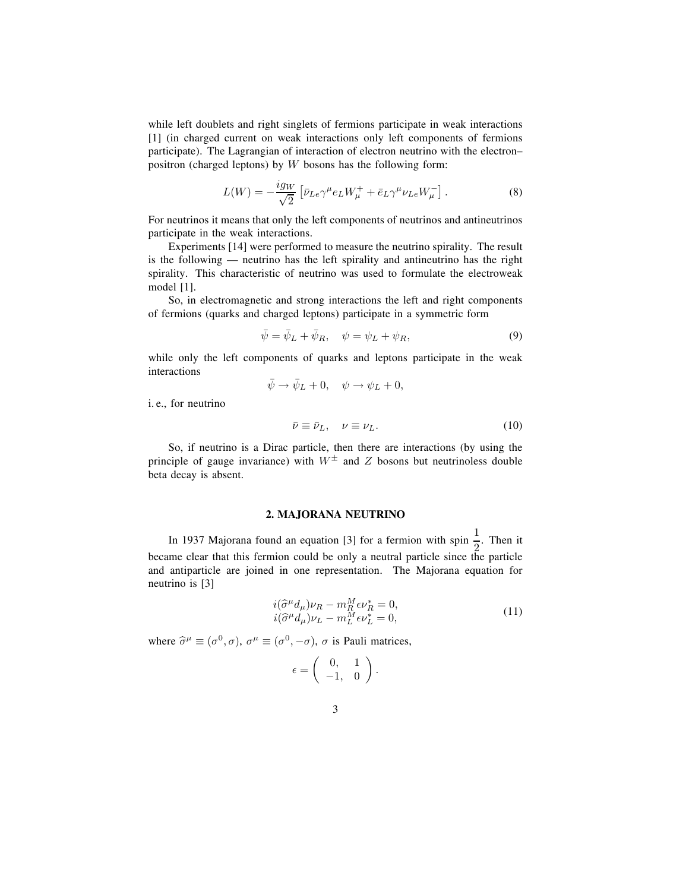while left doublets and right singlets of fermions participate in weak interactions [1] (in charged current on weak interactions only left components of fermions participate). The Lagrangian of interaction of electron neutrino with the electron positron (charged leptons) by  $W$  bosons has the following form:

$$
L(W) = -\frac{ig_W}{\sqrt{2}} \left[ \bar{\nu}_{Le} \gamma^\mu e_L W_\mu^+ + \bar{e}_L \gamma^\mu \nu_{Le} W_\mu^- \right]. \tag{8}
$$

For neutrinos it means that only the left components of neutrinos and antineutrinos participate in the weak interactions.

Experiments [14] were performed to measure the neutrino spirality. The result is the following — neutrino has the left spirality and antineutrino has the right spirality. This characteristic of neutrino was used to formulate the electroweak model [1].

So, in electromagnetic and strong interactions the left and right components of fermions (quarks and charged leptons) participate in a symmetric form

$$
\bar{\psi} = \bar{\psi}_L + \bar{\psi}_R, \quad \psi = \psi_L + \psi_R, \tag{9}
$$

while only the left components of quarks and leptons participate in the weak interactions

$$
\bar{\psi} \to \bar{\psi}_L + 0, \quad \psi \to \psi_L + 0,
$$

i. e., for neutrino

$$
\bar{\nu} \equiv \bar{\nu}_L, \quad \nu \equiv \nu_L. \tag{10}
$$

So, if neutrino is a Dirac particle, then there are interactions (by using the principle of gauge invariance) with  $W^{\pm}$  and Z bosons but neutrinoless double beta decay is absent.

## **2. MAJORANA NEUTRINO**

In 1937 Majorana found an equation [3] for a fermion with spin  $\frac{1}{2}$ . Then it became clear that this fermion could be only a neutral particle since the particle and antiparticle are joined in one representation. The Majorana equation for neutrino is [3]

$$
i(\hat{\sigma}^{\mu}d_{\mu})\nu_{R} - m_{R}^{M}\epsilon\nu_{R}^{*} = 0,
$$
  
\n
$$
i(\hat{\sigma}^{\mu}d_{\mu})\nu_{L} - m_{L}^{M}\epsilon\nu_{L}^{*} = 0,
$$
\n(11)

where  $\hat{\sigma}^{\mu} \equiv (\sigma^0, \sigma)$ ,  $\sigma^{\mu} \equiv (\sigma^0, -\sigma)$ ,  $\sigma$  is Pauli matrices,

$$
\epsilon = \left(\begin{array}{cc} 0, & 1 \\ -1, & 0 \end{array}\right).
$$

3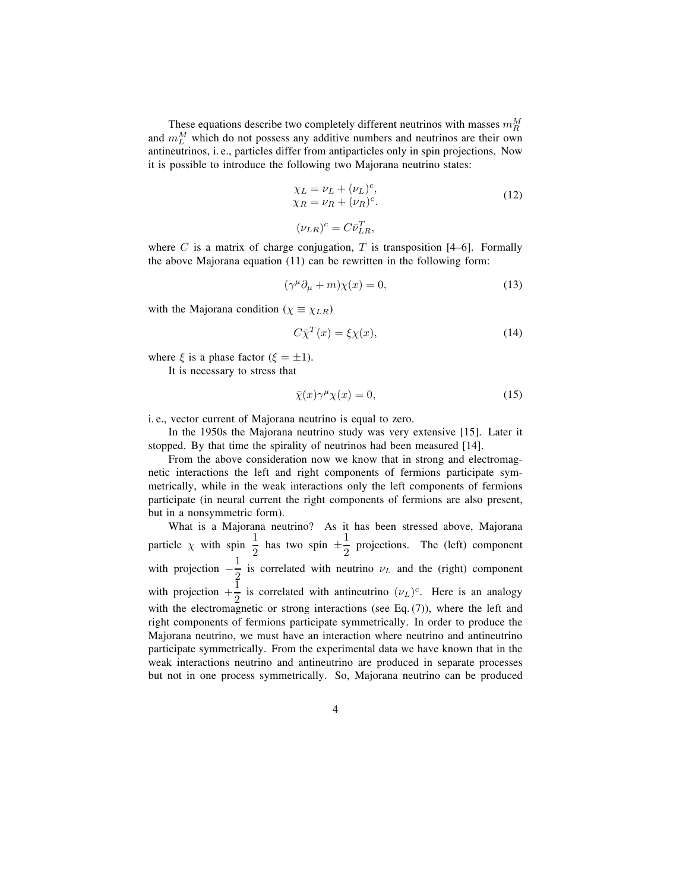These equations describe two completely different neutrinos with masses  $m_R^M$ and  $m<sub>L</sub><sup>M</sup>$  which do not possess any additive numbers and neutrinos are their own antineutrinos, i. e., particles differ from antiparticles only in spin projections. Now it is possible to introduce the following two Majorana neutrino states:

$$
\chi_L = \nu_L + (\nu_L)^c, \chi_R = \nu_R + (\nu_R)^c.
$$
\n(12)

$$
(\nu_{LR})^c = C \bar{\nu}_{LR}^T,
$$

where C is a matrix of charge conjugation, T is transposition  $[4-6]$ . Formally the above Majorana equation (11) can be rewritten in the following form:

$$
(\gamma^{\mu}\partial_{\mu} + m)\chi(x) = 0, \qquad (13)
$$

with the Majorana condition ( $\chi \equiv \chi_{LR}$ )

$$
C\bar{\chi}^T(x) = \xi \chi(x),\tag{14}
$$

where  $\xi$  is a phase factor ( $\xi = \pm 1$ ).

It is necessary to stress that

$$
\bar{\chi}(x)\gamma^{\mu}\chi(x) = 0,\tag{15}
$$

i. e., vector current of Majorana neutrino is equal to zero.

In the 1950s the Majorana neutrino study was very extensive [15]. Later it stopped. By that time the spirality of neutrinos had been measured [14].

From the above consideration now we know that in strong and electromagnetic interactions the left and right components of fermions participate symmetrically, while in the weak interactions only the left components of fermions participate (in neural current the right components of fermions are also present, but in a nonsymmetric form).

What is a Majorana neutrino? As it has been stressed above, Majorana particle  $\chi$  with spin  $\frac{1}{2}$  has two spin  $\pm \frac{1}{2}$  projections. The (left) component with projection  $-\frac{1}{2}$  is correlated with neutrino  $\nu_L$  and the (right) component with projection  $+\frac{1}{2}$  $\frac{1}{2}$  is correlated with antineutrino  $(\nu_L)^c$ . Here is an analogy with the electromagnetic or strong interactions (see Eq. (7)), where the left and right components of fermions participate symmetrically. In order to produce the Majorana neutrino, we must have an interaction where neutrino and antineutrino participate symmetrically. From the experimental data we have known that in the weak interactions neutrino and antineutrino are produced in separate processes but not in one process symmetrically. So, Majorana neutrino can be produced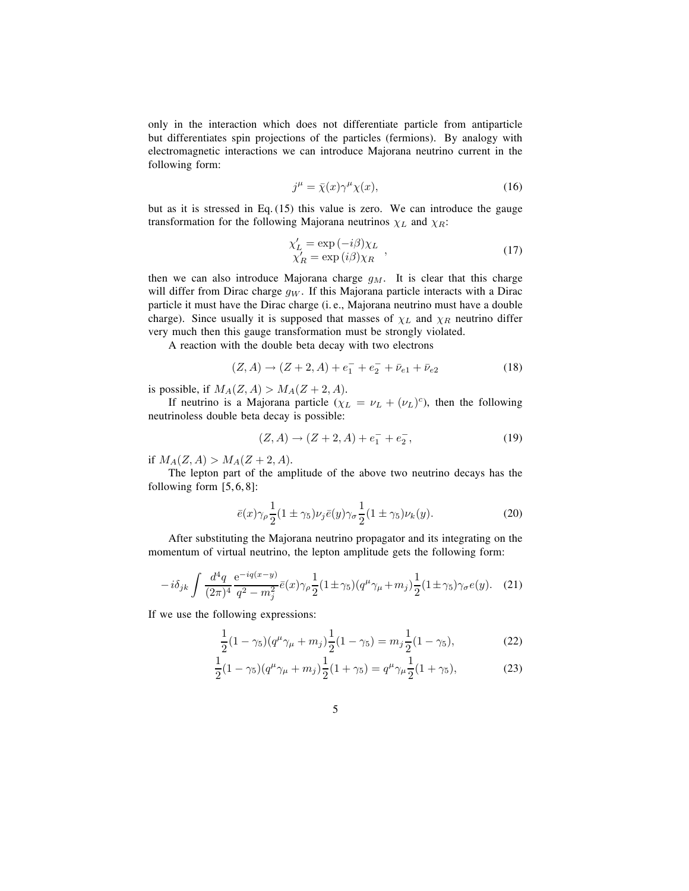only in the interaction which does not differentiate particle from antiparticle but differentiates spin projections of the particles (fermions). By analogy with electromagnetic interactions we can introduce Majorana neutrino current in the following form:

$$
j^{\mu} = \bar{\chi}(x)\gamma^{\mu}\chi(x),\tag{16}
$$

but as it is stressed in Eq. (15) this value is zero. We can introduce the gauge transformation for the following Majorana neutrinos  $\chi_L$  and  $\chi_R$ :

$$
\chi_L' = \exp(-i\beta)\chi_L \n\chi_R' = \exp(i\beta)\chi_R
$$
\n(17)

then we can also introduce Majorana charge  $g_M$ . It is clear that this charge will differ from Dirac charge  $g_W$ . If this Majorana particle interacts with a Dirac particle it must have the Dirac charge (i. e., Majorana neutrino must have a double charge). Since usually it is supposed that masses of  $\chi_L$  and  $\chi_R$  neutrino differ very much then this gauge transformation must be strongly violated.

A reaction with the double beta decay with two electrons

$$
(Z, A) \rightarrow (Z + 2, A) + e_1^- + e_2^- + \bar{\nu}_{e1} + \bar{\nu}_{e2}
$$
 (18)

is possible, if  $M_A(Z, A) > M_A(Z + 2, A)$ .

If neutrino is a Majorana particle  $(\chi_L = \nu_L + (\nu_L)^c)$ , then the following neutrinoless double beta decay is possible:

$$
(Z, A) \to (Z + 2, A) + e_1^- + e_2^-, \tag{19}
$$

if  $M_A(Z, A) > M_A(Z + 2, A)$ .

The lepton part of the amplitude of the above two neutrino decays has the following form  $[5,6,8]$ :

$$
\bar{e}(x)\gamma_{\rho}\frac{1}{2}(1\pm\gamma_{5})\nu_{j}\bar{e}(y)\gamma_{\sigma}\frac{1}{2}(1\pm\gamma_{5})\nu_{k}(y).
$$
\n(20)

After substituting the Majorana neutrino propagator and its integrating on the momentum of virtual neutrino, the lepton amplitude gets the following form:

$$
-i\delta_{jk} \int \frac{d^4q}{(2\pi)^4} \frac{e^{-iq(x-y)}}{q^2 - m_j^2} \bar{e}(x)\gamma_\rho \frac{1}{2} (1 \pm \gamma_5) (q^\mu \gamma_\mu + m_j) \frac{1}{2} (1 \pm \gamma_5) \gamma_\sigma e(y). \tag{21}
$$

If we use the following expressions:

$$
\frac{1}{2}(1-\gamma_5)(q^{\mu}\gamma_{\mu}+m_j)\frac{1}{2}(1-\gamma_5)=m_j\frac{1}{2}(1-\gamma_5),
$$
 (22)

$$
\frac{1}{2}(1-\gamma_5)(q^{\mu}\gamma_{\mu}+m_j)\frac{1}{2}(1+\gamma_5)=q^{\mu}\gamma_{\mu}\frac{1}{2}(1+\gamma_5),
$$
\n(23)

5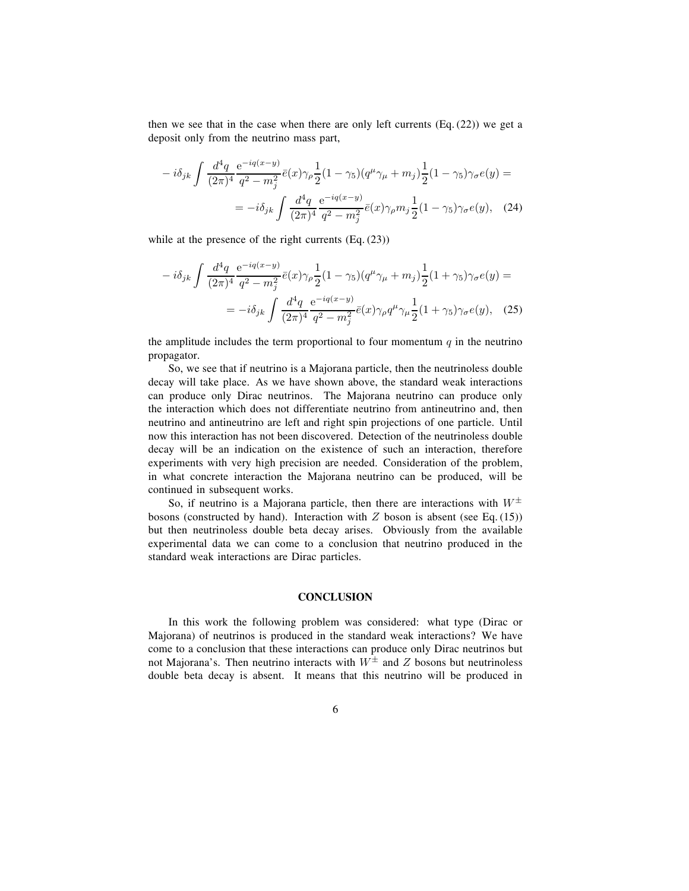then we see that in the case when there are only left currents  $(Eq. (22))$  we get a deposit only from the neutrino mass part,

$$
-i\delta_{jk} \int \frac{d^4q}{(2\pi)^4} \frac{e^{-iq(x-y)}}{q^2 - m_j^2} \bar{e}(x)\gamma_\rho \frac{1}{2} (1 - \gamma_5)(q^\mu \gamma_\mu + m_j) \frac{1}{2} (1 - \gamma_5)\gamma_\sigma e(y) =
$$
  

$$
= -i\delta_{jk} \int \frac{d^4q}{(2\pi)^4} \frac{e^{-iq(x-y)}}{q^2 - m_j^2} \bar{e}(x)\gamma_\rho m_j \frac{1}{2} (1 - \gamma_5)\gamma_\sigma e(y), \quad (24)
$$

while at the presence of the right currents (Eq. (23))

$$
-i\delta_{jk} \int \frac{d^4q}{(2\pi)^4} \frac{e^{-iq(x-y)}}{q^2 - m_j^2} \bar{e}(x)\gamma_\rho \frac{1}{2} (1 - \gamma_5)(q^\mu \gamma_\mu + m_j) \frac{1}{2} (1 + \gamma_5)\gamma_\sigma e(y) =
$$
  

$$
= -i\delta_{jk} \int \frac{d^4q}{(2\pi)^4} \frac{e^{-iq(x-y)}}{q^2 - m_j^2} \bar{e}(x)\gamma_\rho q^\mu \gamma_\mu \frac{1}{2} (1 + \gamma_5)\gamma_\sigma e(y), \quad (25)
$$

the amplitude includes the term proportional to four momentum  $q$  in the neutrino propagator.

So, we see that if neutrino is a Majorana particle, then the neutrinoless double decay will take place. As we have shown above, the standard weak interactions can produce only Dirac neutrinos. The Majorana neutrino can produce only the interaction which does not differentiate neutrino from antineutrino and, then neutrino and antineutrino are left and right spin projections of one particle. Until now this interaction has not been discovered. Detection of the neutrinoless double decay will be an indication on the existence of such an interaction, therefore experiments with very high precision are needed. Consideration of the problem, in what concrete interaction the Majorana neutrino can be produced, will be continued in subsequent works.

So, if neutrino is a Majorana particle, then there are interactions with  $W^{\pm}$ bosons (constructed by hand). Interaction with  $Z$  boson is absent (see Eq. (15)) but then neutrinoless double beta decay arises. Obviously from the available experimental data we can come to a conclusion that neutrino produced in the standard weak interactions are Dirac particles.

### **CONCLUSION**

In this work the following problem was considered: what type (Dirac or Majorana) of neutrinos is produced in the standard weak interactions? We have come to a conclusion that these interactions can produce only Dirac neutrinos but not Majorana's. Then neutrino interacts with  $W^{\pm}$  and Z bosons but neutrinoless double beta decay is absent. It means that this neutrino will be produced in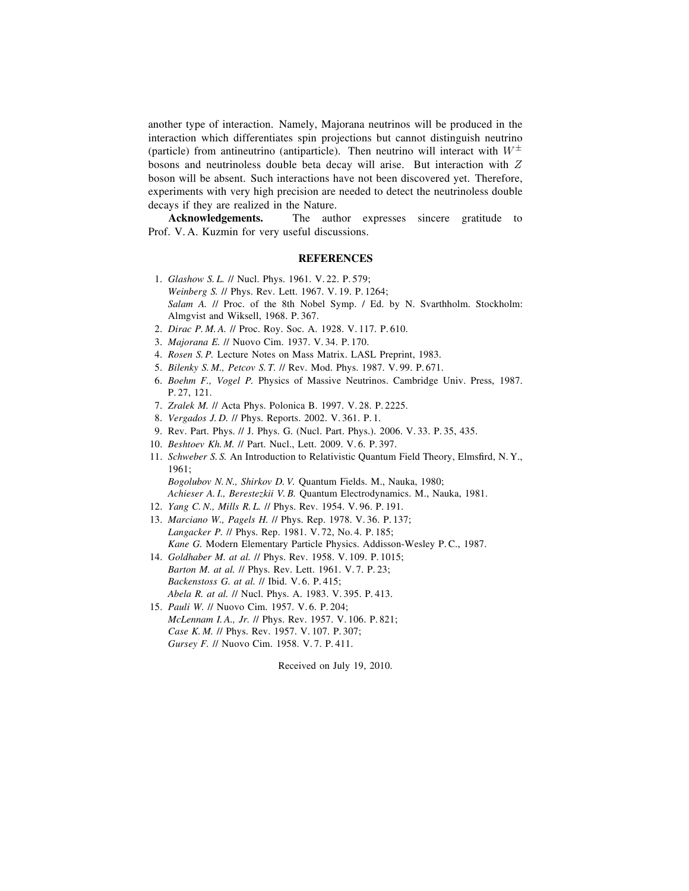another type of interaction. Namely, Majorana neutrinos will be produced in the interaction which differentiates spin projections but cannot distinguish neutrino (particle) from antineutrino (antiparticle). Then neutrino will interact with  $W^{\pm}$ bosons and neutrinoless double beta decay will arise. But interaction with Z boson will be absent. Such interactions have not been discovered yet. Therefore, experiments with very high precision are needed to detect the neutrinoless double decays if they are realized in the Nature.

**Acknowledgements.** The author expresses sincere gratitude to Prof. V. A. Kuzmin for very useful discussions.

#### **REFERENCES**

- 1. *Glashow S. L.* // Nucl. Phys. 1961. V. 22. P. 579; *Weinberg S.* // Phys. Rev. Lett. 1967. V. 19. P. 1264; *Salam A.* // Proc. of the 8th Nobel Symp. / Ed. by N. Svarthholm. Stockholm: Almgvist and Wiksell, 1968. P. 367.
- 2. *Dirac P. M. A.* // Proc. Roy. Soc. A. 1928. V. 117. P. 610.
- 3. *Majorana E.* // Nuovo Cim. 1937. V. 34. P. 170.
- 4. *Rosen S. P.* Lecture Notes on Mass Matrix. LASL Preprint, 1983.
- 5. *Bilenky S. M., Petcov S. T.* // Rev. Mod. Phys. 1987. V. 99. P. 671.
- 6. *Boehm F., Vogel P.* Physics of Massive Neutrinos. Cambridge Univ. Press, 1987. P. 27, 121.
- 7. *Zralek M.* // Acta Phys. Polonica B. 1997. V. 28. P. 2225.
- 8. *Vergados J. D.* // Phys. Reports. 2002. V. 361. P. 1.
- 9. Rev. Part. Phys. // J. Phys. G. (Nucl. Part. Phys.). 2006. V. 33. P. 35, 435.
- 10. *Beshtoev Kh. M.* // Part. Nucl., Lett. 2009. V. 6. P. 397.
- 11. *Schweber S. S.* An Introduction to Relativistic Quantum Field Theory, Elmsfird, N.Y., 1961; *Bogolubov N. N., Shirkov D. V.* Quantum Fields. M., Nauka, 1980;
	- *Achieser A. I., Berestezkii V. B.* Quantum Electrodynamics. M., Nauka, 1981.
- 12. *Yang C. N., Mills R. L.* // Phys. Rev. 1954. V. 96. P. 191.
- 13. *Marciano W., Pagels H.* // Phys. Rep. 1978. V. 36. P. 137; *Langacker P.* // Phys. Rep. 1981. V. 72, No. 4. P. 185; *Kane G.* Modern Elementary Particle Physics. Addisson-Wesley P. C., 1987.
- 14. *Goldhaber M. at al.* // Phys. Rev. 1958. V. 109. P. 1015; *Barton M. at al.* // Phys. Rev. Lett. 1961. V. 7. P. 23; *Backenstoss G. at al.* // Ibid. V. 6. P. 415; *Abela R. at al.* // Nucl. Phys. A. 1983. V. 395. P. 413.
- 15. *Pauli W.* // Nuovo Cim. 1957. V. 6. P. 204; *McLennam I. A., Jr.* // Phys. Rev. 1957. V. 106. P. 821; *Case K. M.* // Phys. Rev. 1957. V. 107. P. 307; *Gursey F.* // Nuovo Cim. 1958. V. 7. P. 411.

Received on July 19, 2010.